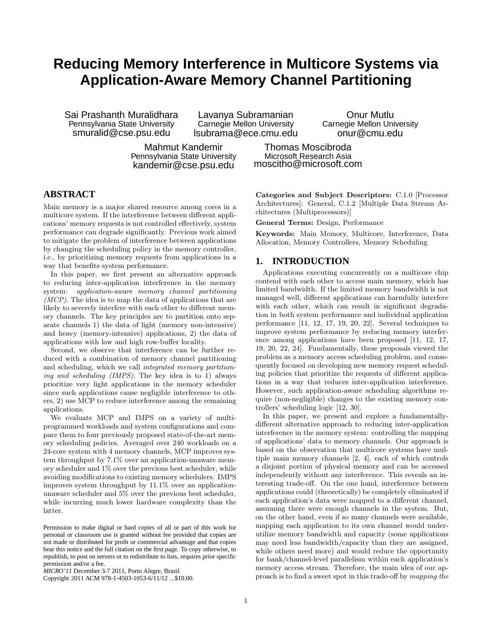# **Reducing Memory Interference in Multicore Systems via Application-Aware Memory Channel Partitioning**

Sai Prashanth Muralidhara Pennsylvania State University smuralid@cse.psu.edu

Lavanya Subramanian Carnegie Mellon University lsubrama@ece.cmu.edu

Mahmut Kandemir Pennsylvania State University kandemir@cse.psu.edu

onur@cmu.edu Thomas Moscibroda Microsoft Research Asia

moscitho@microsoft.com

# **ABSTRACT**

Main memory is a major shared resource among cores in a multicore system. If the interference between different applications' memory requests is not controlled effectively, system performance can degrade significantly. Previous work aimed to mitigate the problem of interference between applications by changing the scheduling policy in the memory controller, i.e., by prioritizing memory requests from applications in a way that benefits system performance.

In this paper, we first present an alternative approach to reducing inter-application interference in the memory system: application-aware memory channel partitioning (MCP). The idea is to map the data of applications that are likely to severely interfere with each other to different memory channels. The key principles are to partition onto separate channels 1) the data of light (memory non-intensive) and heavy (memory-intensive) applications, 2) the data of applications with low and high row-buffer locality.

Second, we observe that interference can be further reduced with a combination of memory channel partitioning and scheduling, which we call integrated memory partitioning and scheduling (IMPS). The key idea is to 1) always prioritize very light applications in the memory scheduler since such applications cause negligible interference to others, 2) use MCP to reduce interference among the remaining applications.

We evaluate MCP and IMPS on a variety of multiprogrammed workloads and system configurations and compare them to four previously proposed state-of-the-art memory scheduling policies. Averaged over 240 workloads on a 24-core system with 4 memory channels, MCP improves system throughput by 7.1% over an application-unaware memory scheduler and 1% over the previous best scheduler, while avoiding modifications to existing memory schedulers. IMPS improves system throughput by 11.1% over an applicationunaware scheduler and 5% over the previous best scheduler, while incurring much lower hardware complexity than the latter.

Copyright 2011 ACM 978-1-4503-1053-6/11/12 ...\$10.00.

Categories and Subject Descriptors: C.1.0 [Processor Architectures]: General, C.1.2 [Multiple Data Stream Architectures (Multiprocessors)]

Onur Mutlu Carnegie Mellon University

General Terms: Design, Performance

Keywords: Main Memory, Multicore, Interference, Data Allocation, Memory Controllers, Memory Scheduling

# **1. INTRODUCTION**

Applications executing concurrently on a multicore chip contend with each other to access main memory, which has limited bandwidth. If the limited memory bandwidth is not managed well, different applications can harmfully interfere with each other, which can result in significant degradation in both system performance and individual application performance [11, 12, 17, 19, 20, 22]. Several techniques to improve system performance by reducing memory interference among applications have been proposed [11, 12, 17, 19, 20, 22, 24]. Fundamentally, these proposals viewed the problem as a memory access scheduling problem, and consequently focused on developing new memory request scheduling policies that prioritize the requests of different applications in a way that reduces inter-application interference. However, such application-aware scheduling algorithms require (non-negligible) changes to the existing memory controllers' scheduling logic [12, 30].

In this paper, we present and explore a fundamentallydifferent alternative approach to reducing inter-application interference in the memory system: controlling the mapping of applications' data to memory channels. Our approach is based on the observation that multicore systems have multiple main memory channels [2, 4], each of which controls a disjoint portion of physical memory and can be accessed independently without any interference. This reveals an interesting trade-off. On the one hand, interference between applications could (theoretically) be completely eliminated if each application's data were mapped to a different channel, assuming there were enough channels in the system. But, on the other hand, even if so many channels were available, mapping each application to its own channel would underutilize memory bandwidth and capacity (some applications may need less bandwidth/capacity than they are assigned, while others need more) and would reduce the opportunity for bank/channel-level parallelism within each application's memory access stream. Therefore, the main idea of our approach is to find a sweet spot in this trade-off by mapping the

Permission to make digital or hard copies of all or part of this work for personal or classroom use is granted without fee provided that copies are not made or distributed for profit or commercial advantage and that copies bear this notice and the full citation on the first page. To copy otherwise, to republish, to post on servers or to redistribute to lists, requires prior specific permission and/or a fee.

*MICRO'11* December 3-7 2011, Porto Alegre, Brazil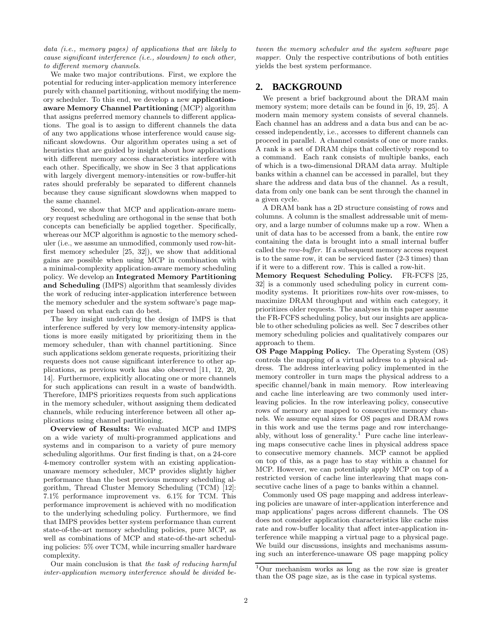data (i.e., memory pages) of applications that are likely to cause significant interference (i.e., slowdown) to each other, to different memory channels.

We make two major contributions. First, we explore the potential for reducing inter-application memory interference purely with channel partitioning, without modifying the memory scheduler. To this end, we develop a new applicationaware Memory Channel Partitioning (MCP) algorithm that assigns preferred memory channels to different applications. The goal is to assign to different channels the data of any two applications whose interference would cause significant slowdowns. Our algorithm operates using a set of heuristics that are guided by insight about how applications with different memory access characteristics interfere with each other. Specifically, we show in Sec 3 that applications with largely divergent memory-intensities or row-buffer-hit rates should preferably be separated to different channels because they cause significant slowdowns when mapped to the same channel.

Second, we show that MCP and application-aware memory request scheduling are orthogonal in the sense that both concepts can beneficially be applied together. Specifically, whereas our MCP algorithm is agnostic to the memory scheduler (i.e., we assume an unmodified, commonly used row-hitfirst memory scheduler [25, 32]), we show that additional gains are possible when using MCP in combination with a minimal-complexity application-aware memory scheduling policy. We develop an Integrated Memory Partitioning and Scheduling (IMPS) algorithm that seamlessly divides the work of reducing inter-application interference between the memory scheduler and the system software's page mapper based on what each can do best.

The key insight underlying the design of IMPS is that interference suffered by very low memory-intensity applications is more easily mitigated by prioritizing them in the memory scheduler, than with channel partitioning. Since such applications seldom generate requests, prioritizing their requests does not cause significant interference to other applications, as previous work has also observed [11, 12, 20, 14]. Furthermore, explicitly allocating one or more channels for such applications can result in a waste of bandwidth. Therefore, IMPS prioritizes requests from such applications in the memory scheduler, without assigning them dedicated channels, while reducing interference between all other applications using channel partitioning.

Overview of Results: We evaluated MCP and IMPS on a wide variety of multi-programmed applications and systems and in comparison to a variety of pure memory scheduling algorithms. Our first finding is that, on a 24-core 4-memory controller system with an existing applicationunaware memory scheduler, MCP provides slightly higher performance than the best previous memory scheduling algorithm, Thread Cluster Memory Scheduling (TCM) [12]: 7.1% performance improvement vs. 6.1% for TCM. This performance improvement is achieved with no modification to the underlying scheduling policy. Furthermore, we find that IMPS provides better system performance than current state-of-the-art memory scheduling policies, pure MCP, as well as combinations of MCP and state-of-the-art scheduling policies: 5% over TCM, while incurring smaller hardware complexity.

Our main conclusion is that the task of reducing harmful inter-application memory interference should be divided be-

tween the memory scheduler and the system software page mapper. Only the respective contributions of both entities yields the best system performance.

# **2. BACKGROUND**

We present a brief background about the DRAM main memory system; more details can be found in [6, 19, 25]. A modern main memory system consists of several channels. Each channel has an address and a data bus and can be accessed independently, i.e., accesses to different channels can proceed in parallel. A channel consists of one or more ranks. A rank is a set of DRAM chips that collectively respond to a command. Each rank consists of multiple banks, each of which is a two-dimensional DRAM data array. Multiple banks within a channel can be accessed in parallel, but they share the address and data bus of the channel. As a result, data from only one bank can be sent through the channel in a given cycle.

A DRAM bank has a 2D structure consisting of rows and columns. A column is the smallest addressable unit of memory, and a large number of columns make up a row. When a unit of data has to be accessed from a bank, the entire row containing the data is brought into a small internal buffer called the row-buffer. If a subsequent memory access request is to the same row, it can be serviced faster (2-3 times) than if it were to a different row. This is called a row-hit.

Memory Request Scheduling Policy. FR-FCFS [25, 32] is a commonly used scheduling policy in current commodity systems. It prioritizes row-hits over row-misses, to maximize DRAM throughput and within each category, it prioritizes older requests. The analyses in this paper assume the FR-FCFS scheduling policy, but our insights are applicable to other scheduling policies as well. Sec 7 describes other memory scheduling policies and qualitatively compares our approach to them.

OS Page Mapping Policy. The Operating System (OS) controls the mapping of a virtual address to a physical address. The address interleaving policy implemented in the memory controller in turn maps the physical address to a specific channel/bank in main memory. Row interleaving and cache line interleaving are two commonly used interleaving policies. In the row interleaving policy, consecutive rows of memory are mapped to consecutive memory channels. We assume equal sizes for OS pages and DRAM rows in this work and use the terms page and row interchangeably, without loss of generality.<sup>1</sup> Pure cache line interleaving maps consecutive cache lines in physical address space to consecutive memory channels. MCP cannot be applied on top of this, as a page has to stay within a channel for MCP. However, we can potentially apply MCP on top of a restricted version of cache line interleaving that maps consecutive cache lines of a page to banks within a channel.

Commonly used OS page mapping and address interleaving policies are unaware of inter-application interference and map applications' pages across different channels. The OS does not consider application characteristics like cache miss rate and row-buffer locality that affect inter-application interference while mapping a virtual page to a physical page. We build our discussions, insights and mechanisms assuming such an interference-unaware OS page mapping policy

<sup>1</sup>Our mechanism works as long as the row size is greater than the OS page size, as is the case in typical systems.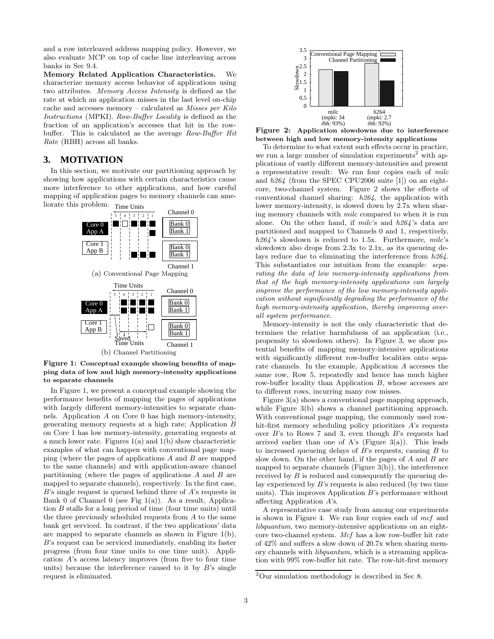and a row interleaved address mapping policy. However, we also evaluate MCP on top of cache line interleaving across banks in Sec 9.4.

Memory Related Application Characteristics. We characterize memory access behavior of applications using two attributes. Memory Access Intensity is defined as the rate at which an application misses in the last level on-chip cache and accesses memory – calculated as Misses per Kilo Instructions (MPKI). Row-Buffer Locality is defined as the fraction of an application's accesses that hit in the rowbuffer. This is calculated as the average Row-Buffer Hit Rate (RBH) across all banks.

# **3. MOTIVATION**

In this section, we motivate our partitioning approach by showing how applications with certain characteristics cause more interference to other applications, and how careful mapping of application pages to memory channels can ameliorate this problem. Time Units



Figure 1: Conceptual example showing benefits of mapping data of low and high memory-intensity applications to separate channels

In Figure 1, we present a conceptual example showing the performance benefits of mapping the pages of applications with largely different memory-intensities to separate channels. Application A on Core 0 has high memory-intensity, generating memory requests at a high rate; Application B on Core 1 has low memory-intensity, generating requests at a much lower rate. Figures 1(a) and 1(b) show characteristic examples of what can happen with conventional page mapping (where the pages of applications A and B are mapped to the same channels) and with application-aware channel partitioning (where the pages of applications  $A$  and  $B$  are mapped to separate channels), respectively. In the first case,  $B$ 's single request is queued behind three of  $A$ 's requests in Bank 0 of Channel 0 (see Fig  $1(a)$ ). As a result, Application B stalls for a long period of time (four time units) until the three previously scheduled requests from A to the same bank get serviced. In contrast, if the two applications' data are mapped to separate channels as shown in Figure 1(b), B's request can be serviced immediately, enabling its faster progress (from four time units to one time unit). Application A's access latency improves (from five to four time units) because the interference caused to it by  $B$ 's single request is eliminated.



Figure 2: Application slowdowns due to interference between high and low memory-intensity applications

To determine to what extent such effects occur in practice, we run a large number of simulation experiments<sup>2</sup> with applications of vastly different memory-intensities and present a representative result: We run four copies each of milc and h264 (from the SPEC CPU2006 suite [1]) on an eightcore, two-channel system. Figure 2 shows the effects of conventional channel sharing: h264, the application with lower memory-intensity, is slowed down by 2.7x when sharing memory channels with milc compared to when it is run alone. On the other hand, if  $milc$ 's and  $h264$ 's data are partitioned and mapped to Channels 0 and 1, respectively,  $h264$ 's slowdown is reduced to 1.5x. Furthermore, milc's slowdown also drops from 2.3x to 2.1x, as its queueing delays reduce due to eliminating the interference from h264. This substantiates our intuition from the example: separating the data of low memory-intensity applications from that of the high memory-intensity applications can largely improve the performance of the low memory-intensity application without significantly degrading the performance of the high memory-intensity application, thereby improving overall system performance.

Memory-intensity is not the only characteristic that determines the relative harmfulness of an application (i.e., propensity to slowdown others). In Figure 3, we show potential benefits of mapping memory-intensive applications with significantly different row-buffer localities onto separate channels. In the example, Application A accesses the same row, Row 5, repeatedly and hence has much higher row-buffer locality than Application B, whose accesses are to different rows, incurring many row misses.

Figure 3(a) shows a conventional page mapping approach, while Figure 3(b) shows a channel partitioning approach. With conventional page mapping, the commonly used rowhit-first memory scheduling policy prioritizes A's requests over  $B$ 's to Rows 7 and 3, even though  $B$ 's requests had arrived earlier than one of A's (Figure 3(a)). This leads to increased queueing delays of  $B$ 's requests, causing  $B$  to slow down. On the other hand, if the pages of  $A$  and  $B$  are mapped to separate channels (Figure 3(b)), the interference received by B is reduced and consequently the queueing delay experienced by  $B$ 's requests is also reduced (by two time units). This improves Application B's performance without affecting Application A's.

A representative case study from among our experiments is shown in Figure 4. We ran four copies each of mcf and libquantum, two memory-intensive applications on an eightcore two-channel system. Mcf has a low row-buffer hit rate of 42% and suffers a slow down of 20.7x when sharing memory channels with libquantum, which is a streaming application with 99% row-buffer hit rate. The row-hit-first memory

 $2$ Our simulation methodology is described in Sec 8.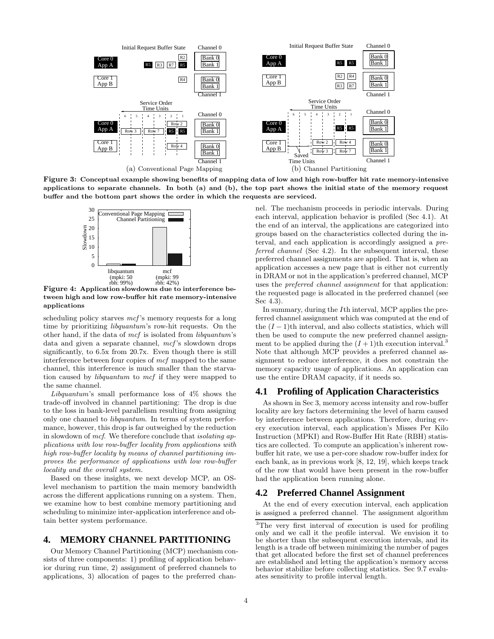

Figure 3: Conceptual example showing benefits of mapping data of low and high row-buffer hit rate memory-intensive applications to separate channels. In both (a) and (b), the top part shows the initial state of the memory request buffer and the bottom part shows the order in which the requests are serviced.



Figure 4: Application slowdowns due to interference between high and low row-buffer hit rate memory-intensive applications

scheduling policy starves  $mcf$ 's memory requests for a long time by prioritizing libquantum's row-hit requests. On the other hand, if the data of  $mcf$  is isolated from *libouantum*'s data and given a separate channel, mcf's slowdown drops significantly, to 6.5x from 20.7x. Even though there is still interference between four copies of mcf mapped to the same channel, this interference is much smaller than the starvation caused by libquantum to mcf if they were mapped to the same channel.

Libquantum's small performance loss of  $4\%$  shows the trade-off involved in channel partitioning: The drop is due to the loss in bank-level parallelism resulting from assigning only one channel to libquantum. In terms of system performance, however, this drop is far outweighed by the reduction in slowdown of mcf. We therefore conclude that isolating applications with low row-buffer locality from applications with high row-buffer locality by means of channel partitioning improves the performance of applications with low row-buffer locality and the overall system.

Based on these insights, we next develop MCP, an OSlevel mechanism to partition the main memory bandwidth across the different applications running on a system. Then, we examine how to best combine memory partitioning and scheduling to minimize inter-application interference and obtain better system performance.

# **4. MEMORY CHANNEL PARTITIONING**

Our Memory Channel Partitioning (MCP) mechanism consists of three components: 1) profiling of application behavior during run time, 2) assignment of preferred channels to applications, 3) allocation of pages to the preferred chan-

nel. The mechanism proceeds in periodic intervals. During each interval, application behavior is profiled (Sec 4.1). At the end of an interval, the applications are categorized into groups based on the characteristics collected during the interval, and each application is accordingly assigned a preferred channel (Sec 4.2). In the subsequent interval, these preferred channel assignments are applied. That is, when an application accesses a new page that is either not currently in DRAM or not in the application's preferred channel, MCP uses the preferred channel assignment for that application: the requested page is allocated in the preferred channel (see Sec 4.3).

In summary, during the Ith interval, MCP applies the preferred channel assignment which was computed at the end of the  $(I-1)$ <sup>th</sup> interval, and also collects statistics, which will then be used to compute the new preferred channel assignment to be applied during the  $(I + 1)$ th execution interval.<sup>3</sup> Note that although MCP provides a preferred channel assignment to reduce interference, it does not constrain the memory capacity usage of applications. An application can use the entire DRAM capacity, if it needs so.

### **4.1 Profiling of Application Characteristics**

As shown in Sec 3, memory access intensity and row-buffer locality are key factors determining the level of harm caused by interference between applications. Therefore, during every execution interval, each application's Misses Per Kilo Instruction (MPKI) and Row-Buffer Hit Rate (RBH) statistics are collected. To compute an application's inherent rowbuffer hit rate, we use a per-core shadow row-buffer index for each bank, as in previous work [8, 12, 19], which keeps track of the row that would have been present in the row-buffer had the application been running alone.

#### **4.2 Preferred Channel Assignment**

At the end of every execution interval, each application is assigned a preferred channel. The assignment algorithm

<sup>3</sup>The very first interval of execution is used for profiling only and we call it the profile interval. We envision it to be shorter than the subsequent execution intervals, and its length is a trade off between minimizing the number of pages that get allocated before the first set of channel preferences are established and letting the application's memory access behavior stabilize before collecting statistics. Sec 9.7 evaluates sensitivity to profile interval length.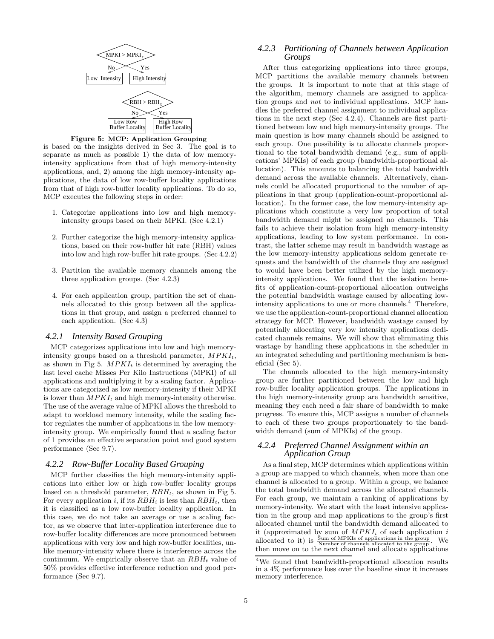

Figure 5: MCP: Application Grouping

is based on the insights derived in Sec 3. The goal is to separate as much as possible 1) the data of low memoryintensity applications from that of high memory-intensity applications, and, 2) among the high memory-intensity applications, the data of low row-buffer locality applications from that of high row-buffer locality applications. To do so, MCP executes the following steps in order:

- 1. Categorize applications into low and high memoryintensity groups based on their MPKI. (Sec 4.2.1)
- 2. Further categorize the high memory-intensity applications, based on their row-buffer hit rate (RBH) values into low and high row-buffer hit rate groups. (Sec 4.2.2)
- 3. Partition the available memory channels among the three application groups. (Sec 4.2.3)
- 4. For each application group, partition the set of channels allocated to this group between all the applications in that group, and assign a preferred channel to each application. (Sec 4.3)

#### *4.2.1 Intensity Based Grouping*

MCP categorizes applications into low and high memoryintensity groups based on a threshold parameter,  $MPKI_t$ , as shown in Fig 5.  $MPKI_t$  is determined by averaging the last level cache Misses Per Kilo Instructions (MPKI) of all applications and multiplying it by a scaling factor. Applications are categorized as low memory-intensity if their MPKI is lower than  $MPKI_t$  and high memory-intensity otherwise. The use of the average value of MPKI allows the threshold to adapt to workload memory intensity, while the scaling factor regulates the number of applications in the low memoryintensity group. We empirically found that a scaling factor of 1 provides an effective separation point and good system performance (Sec 9.7).

#### *4.2.2 Row-Buffer Locality Based Grouping*

MCP further classifies the high memory-intensity applications into either low or high row-buffer locality groups based on a threshold parameter,  $RBH_t$ , as shown in Fig 5. For every application i, if its  $RBH_i$  is less than  $RBH_t$ , then it is classified as a low row-buffer locality application. In this case, we do not take an average or use a scaling factor, as we observe that inter-application interference due to row-buffer locality differences are more pronounced between applications with very low and high row-buffer localities, unlike memory-intensity where there is interference across the continuum. We empirically observe that an  $RBH_t$  value of 50% provides effective interference reduction and good performance (Sec 9.7).

#### *4.2.3 Partitioning of Channels between Application Groups*

After thus categorizing applications into three groups, MCP partitions the available memory channels between the groups. It is important to note that at this stage of the algorithm, memory channels are assigned to application groups and not to individual applications. MCP handles the preferred channel assignment to individual applications in the next step (Sec 4.2.4). Channels are first partitioned between low and high memory-intensity groups. The main question is how many channels should be assigned to each group. One possibility is to allocate channels proportional to the total bandwidth demand (e.g., sum of applications' MPKIs) of each group (bandwidth-proportional allocation). This amounts to balancing the total bandwidth demand across the available channels. Alternatively, channels could be allocated proportional to the number of applications in that group (application-count-proportional allocation). In the former case, the low memory-intensity applications which constitute a very low proportion of total bandwidth demand might be assigned no channels. This fails to achieve their isolation from high memory-intensity applications, leading to low system performance. In contrast, the latter scheme may result in bandwidth wastage as the low memory-intensity applications seldom generate requests and the bandwidth of the channels they are assigned to would have been better utilized by the high memoryintensity applications. We found that the isolation benefits of application-count-proportional allocation outweighs the potential bandwidth wastage caused by allocating lowintensity applications to one or more channels.<sup>4</sup> Therefore, we use the application-count-proportional channel allocation strategy for MCP. However, bandwidth wastage caused by potentially allocating very low intensity applications dedicated channels remains. We will show that eliminating this wastage by handling these applications in the scheduler in an integrated scheduling and partitioning mechanism is beneficial (Sec 5).

The channels allocated to the high memory-intensity group are further partitioned between the low and high row-buffer locality application groups. The applications in the high memory-intensity group are bandwidth sensitive, meaning they each need a fair share of bandwidth to make progress. To ensure this, MCP assigns a number of channels to each of these two groups proportionately to the bandwidth demand (sum of MPKIs) of the group.

# *4.2.4 Preferred Channel Assignment within an Application Group*

As a final step, MCP determines which applications within a group are mapped to which channels, when more than one channel is allocated to a group. Within a group, we balance the total bandwidth demand across the allocated channels. For each group, we maintain a ranking of applications by memory-intensity. We start with the least intensive application in the group and map applications to the group's first allocated channel until the bandwidth demand allocated to it (approximated by sum of  $MPKI_i$  of each application i allocated to it) is  $\frac{\text{Sum of MPKIs of applications in the group}}{\text{Number of channels allocated to the group}}$ . We then move on to the next channel and allocate applications

<sup>4</sup>We found that bandwidth-proportional allocation results in a 4% performance loss over the baseline since it increases memory interference.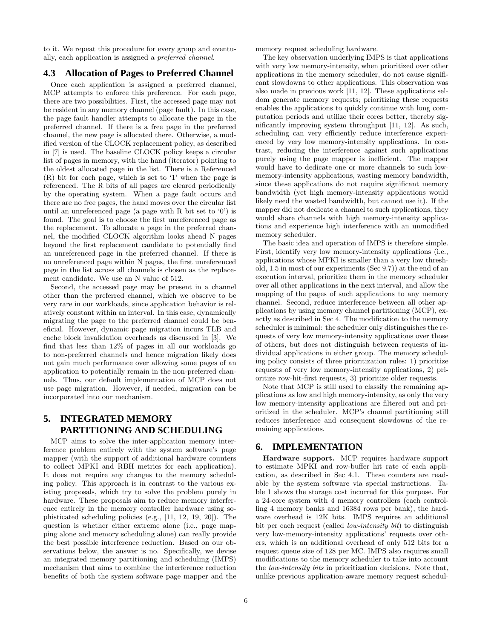to it. We repeat this procedure for every group and eventually, each application is assigned a preferred channel.

# **4.3 Allocation of Pages to Preferred Channel**

Once each application is assigned a preferred channel, MCP attempts to enforce this preference. For each page, there are two possibilities. First, the accessed page may not be resident in any memory channel (page fault). In this case, the page fault handler attempts to allocate the page in the preferred channel. If there is a free page in the preferred channel, the new page is allocated there. Otherwise, a modified version of the CLOCK replacement policy, as described in [7] is used. The baseline CLOCK policy keeps a circular list of pages in memory, with the hand (iterator) pointing to the oldest allocated page in the list. There is a Referenced (R) bit for each page, which is set to '1' when the page is referenced. The R bits of all pages are cleared periodically by the operating system. When a page fault occurs and there are no free pages, the hand moves over the circular list until an unreferenced page (a page with R bit set to  $(0)$ ) is found. The goal is to choose the first unreferenced page as the replacement. To allocate a page in the preferred channel, the modified CLOCK algorithm looks ahead N pages beyond the first replacement candidate to potentially find an unreferenced page in the preferred channel. If there is no unreferenced page within N pages, the first unreferenced page in the list across all channels is chosen as the replacement candidate. We use an N value of 512.

Second, the accessed page may be present in a channel other than the preferred channel, which we observe to be very rare in our workloads, since application behavior is relatively constant within an interval. In this case, dynamically migrating the page to the preferred channel could be beneficial. However, dynamic page migration incurs TLB and cache block invalidation overheads as discussed in [3]. We find that less than 12% of pages in all our workloads go to non-preferred channels and hence migration likely does not gain much performance over allowing some pages of an application to potentially remain in the non-preferred channels. Thus, our default implementation of MCP does not use page migration. However, if needed, migration can be incorporated into our mechanism.

# **5. INTEGRATED MEMORY PARTITIONING AND SCHEDULING**

MCP aims to solve the inter-application memory interference problem entirely with the system software's page mapper (with the support of additional hardware counters to collect MPKI and RBH metrics for each application). It does not require any changes to the memory scheduling policy. This approach is in contrast to the various existing proposals, which try to solve the problem purely in hardware. These proposals aim to reduce memory interference entirely in the memory controller hardware using sophisticated scheduling policies (e.g., [11, 12, 19, 20]). The question is whether either extreme alone (i.e., page mapping alone and memory scheduling alone) can really provide the best possible interference reduction. Based on our observations below, the answer is no. Specifically, we devise an integrated memory partitioning and scheduling (IMPS) mechanism that aims to combine the interference reduction benefits of both the system software page mapper and the memory request scheduling hardware.

The key observation underlying IMPS is that applications with very low memory-intensity, when prioritized over other applications in the memory scheduler, do not cause significant slowdowns to other applications. This observation was also made in previous work [11, 12]. These applications seldom generate memory requests; prioritizing these requests enables the applications to quickly continue with long computation periods and utilize their cores better, thereby significantly improving system throughput [11, 12]. As such, scheduling can very efficiently reduce interference experienced by very low memory-intensity applications. In contrast, reducing the interference against such applications purely using the page mapper is inefficient. The mapper would have to dedicate one or more channels to such lowmemory-intensity applications, wasting memory bandwidth, since these applications do not require significant memory bandwidth (yet high memory-intensity applications would likely need the wasted bandwidth, but cannot use it). If the mapper did not dedicate a channel to such applications, they would share channels with high memory-intensity applications and experience high interference with an unmodified memory scheduler.

The basic idea and operation of IMPS is therefore simple. First, identify very low memory-intensity applications (i.e., applications whose MPKI is smaller than a very low threshold, 1.5 in most of our experiments (Sec 9.7)) at the end of an execution interval, prioritize them in the memory scheduler over all other applications in the next interval, and allow the mapping of the pages of such applications to any memory channel. Second, reduce interference between all other applications by using memory channel partitioning (MCP), exactly as described in Sec 4. The modification to the memory scheduler is minimal: the scheduler only distinguishes the requests of very low memory-intensity applications over those of others, but does not distinguish between requests of individual applications in either group. The memory scheduling policy consists of three prioritization rules: 1) prioritize requests of very low memory-intensity applications, 2) prioritize row-hit-first requests, 3) prioritize older requests.

Note that MCP is still used to classify the remaining applications as low and high memory-intensity, as only the very low memory-intensity applications are filtered out and prioritized in the scheduler. MCP's channel partitioning still reduces interference and consequent slowdowns of the remaining applications.

## **6. IMPLEMENTATION**

Hardware support. MCP requires hardware support to estimate MPKI and row-buffer hit rate of each application, as described in Sec 4.1. These counters are readable by the system software via special instructions. Table 1 shows the storage cost incurred for this purpose. For a 24-core system with 4 memory controllers (each controlling 4 memory banks and 16384 rows per bank), the hardware overhead is 12K bits. IMPS requires an additional bit per each request (called *low-intensity bit*) to distinguish very low-memory-intensity applications' requests over others, which is an additional overhead of only 512 bits for a request queue size of 128 per MC. IMPS also requires small modifications to the memory scheduler to take into account the low-intensity bits in prioritization decisions. Note that, unlike previous application-aware memory request schedul-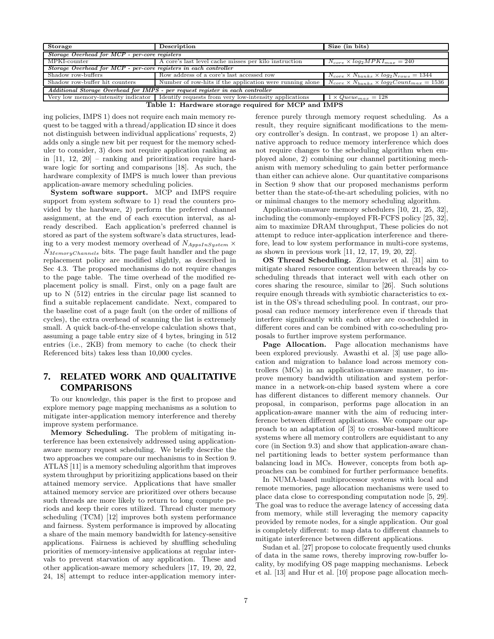| Storage                                                          | Size (in bits)                                                                                                      |                                                         |  |  |  |  |  |
|------------------------------------------------------------------|---------------------------------------------------------------------------------------------------------------------|---------------------------------------------------------|--|--|--|--|--|
| Storage Overhead for MCP - per-core registers                    |                                                                                                                     |                                                         |  |  |  |  |  |
| MPKI-counter                                                     | A core's last level cache misses per kilo instruction                                                               | $N_{core} \times log_2 MPKI_{max} = 240$                |  |  |  |  |  |
| Storage Overhead for MCP - per-core registers in each controller |                                                                                                                     |                                                         |  |  |  |  |  |
| Shadow row-buffers                                               | Row address of a core's last accessed row                                                                           | $N_{core} \times N_{banks} \times log_2N_{rows} = 1344$ |  |  |  |  |  |
| Shadow row-buffer hit counters                                   | Number of row-hits if the application were running alone $N_{core} \times N_{banks} \times log_2Count_{max} = 1536$ |                                                         |  |  |  |  |  |
|                                                                  | Additional Storage Overhead for IMPS - per request register in each controller                                      |                                                         |  |  |  |  |  |
|                                                                  | Very low memory-intensity indicator   Identify requests from very low-intensity applications                        | $1 \times Queue_{max} = 128$                            |  |  |  |  |  |
| Table 1: Hardware storage required for MCP and IMPS              |                                                                                                                     |                                                         |  |  |  |  |  |

ing policies, IMPS 1) does not require each main memory request to be tagged with a thread/application ID since it does not distinguish between individual applications' requests, 2) adds only a single new bit per request for the memory scheduler to consider, 3) does not require application ranking as in [11, 12, 20] – ranking and prioritization require hardware logic for sorting and comparisons [18]. As such, the hardware complexity of IMPS is much lower than previous

application-aware memory scheduling policies. System software support. MCP and IMPS require support from system software to 1) read the counters provided by the hardware, 2) perform the preferred channel assignment, at the end of each execution interval, as already described. Each application's preferred channel is stored as part of the system software's data structures, leading to a very modest memory overhead of  $N_{AppsInSystem}$   $\times$  $N_{MemoryChannels}$  bits. The page fault handler and the page replacement policy are modified slightly, as described in Sec 4.3. The proposed mechanisms do not require changes to the page table. The time overhead of the modified replacement policy is small. First, only on a page fault are up to N (512) entries in the circular page list scanned to find a suitable replacement candidate. Next, compared to the baseline cost of a page fault (on the order of millions of cycles), the extra overhead of scanning the list is extremely small. A quick back-of-the-envelope calculation shows that, assuming a page table entry size of 4 bytes, bringing in 512 entries (i.e., 2KB) from memory to cache (to check their Referenced bits) takes less than 10,000 cycles.

# **7. RELATED WORK AND QUALITATIVE COMPARISONS**

To our knowledge, this paper is the first to propose and explore memory page mapping mechanisms as a solution to mitigate inter-application memory interference and thereby improve system performance.

Memory Scheduling. The problem of mitigating interference has been extensively addressed using applicationaware memory request scheduling. We briefly describe the two approaches we compare our mechanisms to in Section 9. ATLAS [11] is a memory scheduling algorithm that improves system throughput by prioritizing applications based on their attained memory service. Applications that have smaller attained memory service are prioritized over others because such threads are more likely to return to long compute periods and keep their cores utilized. Thread cluster memory scheduling (TCM) [12] improves both system performance and fairness. System performance is improved by allocating a share of the main memory bandwidth for latency-sensitive applications. Fairness is achieved by shuffling scheduling priorities of memory-intensive applications at regular intervals to prevent starvation of any application. These and other application-aware memory schedulers [17, 19, 20, 22, 24, 18] attempt to reduce inter-application memory interference purely through memory request scheduling. As a result, they require significant modifications to the memory controller's design. In contrast, we propose 1) an alternative approach to reduce memory interference which does not require changes to the scheduling algorithm when employed alone, 2) combining our channel partitioning mechanism with memory scheduling to gain better performance than either can achieve alone. Our quantitative comparisons in Section 9 show that our proposed mechanisms perform better than the state-of-the-art scheduling policies, with no or minimal changes to the memory scheduling algorithm.

Application-unaware memory schedulers [10, 21, 25, 32], including the commonly-employed FR-FCFS policy [25, 32], aim to maximize DRAM throughput, These policies do not attempt to reduce inter-application interference and therefore, lead to low system performance in multi-core systems, as shown in previous work [11, 12, 17, 19, 20, 22].

OS Thread Scheduling. Zhuravlev et al. [31] aim to mitigate shared resource contention between threads by coscheduling threads that interact well with each other on cores sharing the resource, similar to [26]. Such solutions require enough threads with symbiotic characteristics to exist in the OS's thread scheduling pool. In contrast, our proposal can reduce memory interference even if threads that interfere significantly with each other are co-scheduled in different cores and can be combined with co-scheduling proposals to further improve system performance.

Page Allocation. Page allocation mechanisms have been explored previously. Awasthi et al. [3] use page allocation and migration to balance load across memory controllers (MCs) in an application-unaware manner, to improve memory bandwidth utilization and system performance in a network-on-chip based system where a core has different distances to different memory channels. Our proposal, in comparison, performs page allocation in an application-aware manner with the aim of reducing interference between different applications. We compare our approach to an adaptation of [3] to crossbar-based multicore systems where all memory controllers are equidistant to any core (in Section 9.3) and show that application-aware channel partitioning leads to better system performance than balancing load in MCs. However, concepts from both approaches can be combined for further performance benefits.

In NUMA-based multiprocessor systems with local and remote memories, page allocation mechanisms were used to place data close to corresponding computation node [5, 29]. The goal was to reduce the average latency of accessing data from memory, while still leveraging the memory capacity provided by remote nodes, for a single application. Our goal is completely different: to map data to different channels to mitigate interference between different applications.

Sudan et al. [27] propose to colocate frequently used chunks of data in the same rows, thereby improving row-buffer locality, by modifying OS page mapping mechanisms. Lebeck et al. [13] and Hur et al. [10] propose page allocation mech-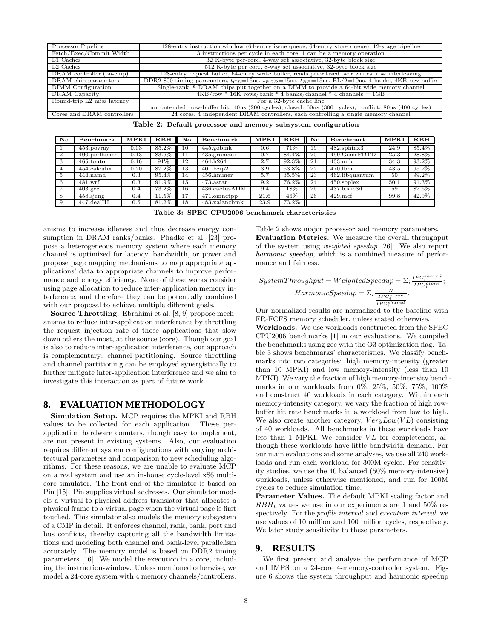| Processor Pipeline         | 128-entry instruction window (64-entry issue queue, 64-entry store queue), 12-stage pipeline                    |
|----------------------------|-----------------------------------------------------------------------------------------------------------------|
| Fetch/Exec/Commit Width    | $3$ instructions per cycle in each core; 1 can be a memory operation                                            |
| L1 Caches                  | 32 K-byte per-core, 4-way set associative, 32-byte block size                                                   |
| L <sub>2</sub> Caches      | 512 K-byte per core, 8-way set associative, 32-byte block size                                                  |
| DRAM controller (on-chip)  | 128-entry request buffer, 64-entry write buffer, reads prioritized over writes, row interleaving                |
| DRAM chip parameters       | DDR2-800 timing parameters, $t_{CL}$ =15ns, $t_{RCD}$ =15ns, $t_{RP}$ =15ns, BL/2=10ns, 4 banks, 4KB row-buffer |
| DIMM Configuration         | Single-rank, 8 DRAM chips put together on a DIMM to provide a 64-bit wide memory channel                        |
| DRAM Capacity              | $4KB$ /row * 16K rows/bank * 4 banks/channel * 4 channels = 1GB                                                 |
| Round-trip L2 miss latency | For a 32-byte cache line                                                                                        |
|                            | uncontended: row-buffer hit: 40ns (200 cycles), closed: 60ns (300 cycles), conflict: 80ns (400 cycles)          |
| Cores and DRAM controllers | 24 cores, 4 independent DRAM controllers, each controlling a single memory channel                              |

|  |  |  |  |  |  | Table 2: Default processor and memory subsystem configuration |
|--|--|--|--|--|--|---------------------------------------------------------------|
|--|--|--|--|--|--|---------------------------------------------------------------|

| No. | <b>Benchmark</b> | MPKI              | $R$ BH | No. | Benchmark                             | MPKI | $R$ $BH$ | No. | Benchmark          | MPKI | $R$ BH |
|-----|------------------|-------------------|--------|-----|---------------------------------------|------|----------|-----|--------------------|------|--------|
|     | $453.$ povray    | $_{0.03}$         | 85.2%  | 10  | $445$ .gobmk                          | 0.6  |          | 19. | $482$ sphinx $3$   | 24.9 | 85.4%  |
|     | 400.perlbench    | $0.13\,$          | 83.6%  |     | 435.gromacs                           |      | $84.4\%$ | -20 | 459.GemsFDTD       | 25.3 | 28.8%  |
|     | $465$ tonto      | $0.16\,$          | 91\%   | 12  | 464.h264                              | 2.7  | 92.3%    | -21 | $433 \text{ milc}$ | 34.3 | 93.2%  |
|     | $454$ .calculix  | $0.\overline{20}$ | 87.2%  | 13  | $401 \cdot b \cdot a \cdot b \cdot 2$ | 3.9  | 53.8%    | 22  | $470$ .lbm         | 43.5 | 95.2%  |
|     | $444$ .namd      | 0.3               | 95.4%  | 14  | $456.$ hmmer                          | 5.7  | 35.5%    | 23  | 462.libquantum     | 50   | 99.2%  |
|     | 481.wrf          | 0.3               | 91.9%  | 15  | $473.\ast \$                          | 9.2  | 76.2%    | 24  | $450$ .soplex      | 50.1 | 91.3%  |
|     | $403.\text{gcc}$ | 0.4               | 73.2%  | 16  | 436.cactusADM                         | 9.4  | $18\%$   | 25  | 437.leslie3d       | 59   | 82.6%  |
|     | $458$ sjeng      | 0.4               | 11.5%  | 17  | $\overline{471}$ .omnetpp             | 21.6 | 46%      | 26  | $429$ .mcf         | 99.8 | 42.9%  |
|     | 447.dealIII      | $0.5^{\circ}$     | 81.2%  | 18  | 483.xalancbmk                         | 23.9 | 73.2%    |     |                    |      |        |

Table 3: SPEC CPU2006 benchmark characteristics

anisms to increase idleness and thus decrease energy consumption in DRAM ranks/banks. Phadke et al. [23] propose a heterogeneous memory system where each memory channel is optimized for latency, bandwidth, or power and propose page mapping mechanisms to map appropriate applications' data to appropriate channels to improve performance and energy efficiency. None of these works consider using page allocation to reduce inter-application memory interference, and therefore they can be potentially combined with our proposal to achieve multiple different goals.

Source Throttling. Ebrahimi et al. [8, 9] propose mechanisms to reduce inter-application interference by throttling the request injection rate of those applications that slow down others the most, at the source (core). Though our goal is also to reduce inter-application interference, our approach is complementary: channel partitioning. Source throttling and channel partitioning can be employed synergistically to further mitigate inter-application interference and we aim to investigate this interaction as part of future work.

#### **8. EVALUATION METHODOLOGY**

Simulation Setup. MCP requires the MPKI and RBH values to be collected for each application. These perapplication hardware counters, though easy to implement, are not present in existing systems. Also, our evaluation requires different system configurations with varying architectural parameters and comparison to new scheduling algorithms. For these reasons, we are unable to evaluate MCP on a real system and use an in-house cycle-level x86 multicore simulator. The front end of the simulator is based on Pin [15]. Pin supplies virtual addresses. Our simulator models a virtual-to-physical address translator that allocates a physical frame to a virtual page when the virtual page is first touched. This simulator also models the memory subsystem of a CMP in detail. It enforces channel, rank, bank, port and bus conflicts, thereby capturing all the bandwidth limitations and modeling both channel and bank-level parallelism accurately. The memory model is based on DDR2 timing parameters [16]. We model the execution in a core, including the instruction-window. Unless mentioned otherwise, we model a 24-core system with 4 memory channels/controllers.

Table 2 shows major processor and memory parameters. Evaluation Metrics. We measure the overall throughput of the system using weighted speedup [26]. We also report harmonic speedup, which is a combined measure of performance and fairness.

$$
SystemThroughput = Weighted Speedup = \sum_{i} \frac{IPC_i^{shared}}{IPC_i^{alone}};
$$
  

$$
Harmonic Speedup = \sum_{i} \frac{N}{IPC_i^{alone}}.
$$

Our normalized results are normalized to the baseline with FR-FCFS memory scheduler, unless stated otherwise.

Workloads. We use workloads constructed from the SPEC CPU2006 benchmarks [1] in our evaluations. We compiled the benchmarks using gcc with the O3 optimization flag. Table 3 shows benchmarks' characteristics. We classify benchmarks into two categories: high memory-intensity (greater than 10 MPKI) and low memory-intensity (less than 10 MPKI). We vary the fraction of high memory-intensity benchmarks in our workloads from 0%, 25%, 50%, 75%, 100% and construct 40 workloads in each category. Within each memory-intensity category, we vary the fraction of high rowbuffer hit rate benchmarks in a workload from low to high. We also create another category,  $VeryLow(VL)$  consisting of 40 workloads. All benchmarks in these workloads have less than 1 MPKI. We consider  $VL$  for completeness, although these workloads have little bandwidth demand. For our main evaluations and some analyses, we use all 240 workloads and run each workload for 300M cycles. For sensitivity studies, we use the 40 balanced (50% memory-intensive) workloads, unless otherwise mentioned, and run for 100M cycles to reduce simulation time.

Parameter Values. The default MPKI scaling factor and  $RBH_t$  values we use in our experiments are 1 and 50% respectively. For the profile interval and execution interval, we use values of 10 million and 100 million cycles, respectively. We later study sensitivity to these parameters.

#### **9. RESULTS**

We first present and analyze the performance of MCP and IMPS on a 24-core 4-memory-controller system. Figure 6 shows the system throughput and harmonic speedup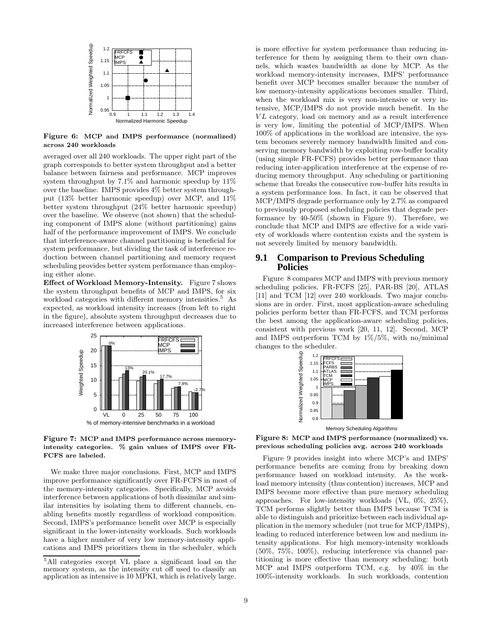

Figure 6: MCP and IMPS performance (normalized) across 240 workloads

averaged over all 240 workloads. The upper right part of the graph corresponds to better system throughput and a better balance between fairness and performance. MCP improves system throughput by 7.1% and harmonic speedup by 11% over the baseline. IMPS provides 4% better system throughput (13% better harmonic speedup) over MCP, and 11% better system throughput (24% better harmonic speedup) over the baseline. We observe (not shown) that the scheduling component of IMPS alone (without partitioning) gains half of the performance improvement of IMPS. We conclude that interference-aware channel partitioning is beneficial for system performance, but dividing the task of interference reduction between channel partitioning and memory request scheduling provides better system performance than employing either alone.

Effect of Workload Memory-Intensity. Figure 7 shows the system throughput benefits of MCP and IMPS, for six workload categories with different memory intensities.<sup>5</sup> As expected, as workload intensity increases (from left to right in the figure), absolute system throughput decreases due to increased interference between applications.



#### Figure 7: MCP and IMPS performance across memoryintensity categories. % gain values of IMPS over FR-FCFS are labeled.

We make three major conclusions. First, MCP and IMPS improve performance significantly over FR-FCFS in most of the memory-intensity categories. Specifically, MCP avoids interference between applications of both dissimilar and similar intensities by isolating them to different channels, enabling benefits mostly regardless of workload composition. Second, IMPS's performance benefit over MCP is especially significant in the lower-intensity workloads. Such workloads have a higher number of very low memory-intensity applications and IMPS prioritizes them in the scheduler, which is more effective for system performance than reducing interference for them by assigning them to their own channels, which wastes bandwidth as done by MCP. As the workload memory-intensity increases, IMPS' performance benefit over MCP becomes smaller because the number of low memory-intensity applications becomes smaller. Third, when the workload mix is very non-intensive or very intensive, MCP/IMPS do not provide much benefit. In the VL category, load on memory and as a result interference is very low, limiting the potential of MCP/IMPS. When 100% of applications in the workload are intensive, the system becomes severely memory bandwidth limited and conserving memory bandwidth by exploiting row-buffer locality (using simple FR-FCFS) provides better performance than reducing inter-application interference at the expense of reducing memory throughput. Any scheduling or partitioning scheme that breaks the consecutive row-buffer hits results in a system performance loss. In fact, it can be observed that MCP/IMPS degrade performance only by 2.7% as compared to previously proposed scheduling policies that degrade performance by 40-50% (shown in Figure 9). Therefore, we conclude that MCP and IMPS are effective for a wide variety of workloads where contention exists and the system is not severely limited by memory bandwidth.

## **9.1 Comparison to Previous Scheduling Policies**

Figure 8 compares MCP and IMPS with previous memory scheduling policies, FR-FCFS [25], PAR-BS [20], ATLAS [11] and TCM [12] over 240 workloads. Two major conclusions are in order. First, most application-aware scheduling policies perform better than FR-FCFS, and TCM performs the best among the application-aware scheduling policies, consistent with previous work [20, 11, 12]. Second, MCP and IMPS outperform TCM by  $1\%/5\%$ , with no/minimal changes to the scheduler.



Memory Scheduling Algorithms

Figure 8: MCP and IMPS performance (normalized) vs. previous scheduling policies avg. across 240 workloads

Figure 9 provides insight into where MCP's and IMPS' performance benefits are coming from by breaking down performance based on workload intensity. As the workload memory intensity (thus contention) increases, MCP and IMPS become more effective than pure memory scheduling approaches. For low-intensity workloads (VL, 0%, 25%), TCM performs slightly better than IMPS because TCM is able to distinguish and prioritize between each individual application in the memory scheduler (not true for MCP/IMPS), leading to reduced interference between low and medium intensity applications. For high memory-intensity workloads (50%, 75%, 100%), reducing interference via channel partitioning is more effective than memory scheduling: both MCP and IMPS outperform TCM, e.g. by 40% in the 100%-intensity workloads. In such workloads, contention

<sup>5</sup>All categories except VL place a significant load on the memory system, as the intensity cut off used to classify an application as intensive is 10 MPKI, which is relatively large.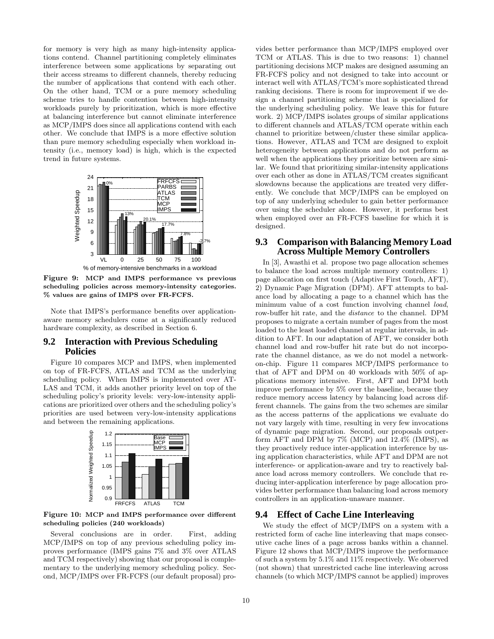for memory is very high as many high-intensity applications contend. Channel partitioning completely eliminates interference between some applications by separating out their access streams to different channels, thereby reducing the number of applications that contend with each other. On the other hand, TCM or a pure memory scheduling scheme tries to handle contention between high-intensity workloads purely by prioritization, which is more effective at balancing interference but cannot eliminate interference as MCP/IMPS does since all applications contend with each other. We conclude that IMPS is a more effective solution than pure memory scheduling especially when workload intensity (i.e., memory load) is high, which is the expected trend in future systems.



Figure 9: MCP and IMPS performance vs previous scheduling policies across memory-intensity categories. % values are gains of IMPS over FR-FCFS.

Note that IMPS's performance benefits over applicationaware memory schedulers come at a significantly reduced hardware complexity, as described in Section 6.

# **9.2 Interaction with Previous Scheduling Policies**

Figure 10 compares MCP and IMPS, when implemented on top of FR-FCFS, ATLAS and TCM as the underlying scheduling policy. When IMPS is implemented over AT-LAS and TCM, it adds another priority level on top of the scheduling policy's priority levels: very-low-intensity applications are prioritized over others and the scheduling policy's priorities are used between very-low-intensity applications and between the remaining applications.



Figure 10: MCP and IMPS performance over different scheduling policies (240 workloads)

Several conclusions are in order. First, adding MCP/IMPS on top of any previous scheduling policy improves performance (IMPS gains 7% and 3% over ATLAS and TCM respectively) showing that our proposal is complementary to the underlying memory scheduling policy. Second, MCP/IMPS over FR-FCFS (our default proposal) provides better performance than MCP/IMPS employed over TCM or ATLAS. This is due to two reasons: 1) channel partitioning decisions MCP makes are designed assuming an FR-FCFS policy and not designed to take into account or interact well with ATLAS/TCM's more sophisticated thread ranking decisions. There is room for improvement if we design a channel partitioning scheme that is specialized for the underlying scheduling policy. We leave this for future work. 2) MCP/IMPS isolates groups of similar applications to different channels and ATLAS/TCM operate within each channel to prioritize between/cluster these similar applications. However, ATLAS and TCM are designed to exploit heterogeneity between applications and do not perform as well when the applications they prioritize between are similar. We found that prioritizing similar-intensity applications over each other as done in ATLAS/TCM creates significant slowdowns because the applications are treated very differently. We conclude that MCP/IMPS can be employed on top of any underlying scheduler to gain better performance over using the scheduler alone. However, it performs best when employed over an FR-FCFS baseline for which it is designed.

#### **9.3 Comparison with Balancing Memory Load Across Multiple Memory Controllers**

In [3], Awasthi et al. propose two page allocation schemes to balance the load across multiple memory controllers: 1) page allocation on first touch (Adaptive First Touch, AFT), 2) Dynamic Page Migration (DPM). AFT attempts to balance load by allocating a page to a channel which has the minimum value of a cost function involving channel *load*, row-buffer hit rate, and the distance to the channel. DPM proposes to migrate a certain number of pages from the most loaded to the least loaded channel at regular intervals, in addition to AFT. In our adaptation of AFT, we consider both channel load and row-buffer hit rate but do not incorporate the channel distance, as we do not model a networkon-chip. Figure 11 compares MCP/IMPS performance to that of AFT and DPM on 40 workloads with 50% of applications memory intensive. First, AFT and DPM both improve performance by 5% over the baseline, because they reduce memory access latency by balancing load across different channels. The gains from the two schemes are similar as the access patterns of the applications we evaluate do not vary largely with time, resulting in very few invocations of dynamic page migration. Second, our proposals outperform AFT and DPM by 7% (MCP) and 12.4% (IMPS), as they proactively reduce inter-application interference by using application characteristics, while AFT and DPM are not interference- or application-aware and try to reactively balance load across memory controllers. We conclude that reducing inter-application interference by page allocation provides better performance than balancing load across memory controllers in an application-unaware manner.

# **9.4 Effect of Cache Line Interleaving**

We study the effect of MCP/IMPS on a system with a restricted form of cache line interleaving that maps consecutive cache lines of a page across banks within a channel. Figure 12 shows that MCP/IMPS improve the performance of such a system by 5.1% and 11% respectively. We observed (not shown) that unrestricted cache line interleaving across channels (to which MCP/IMPS cannot be applied) improves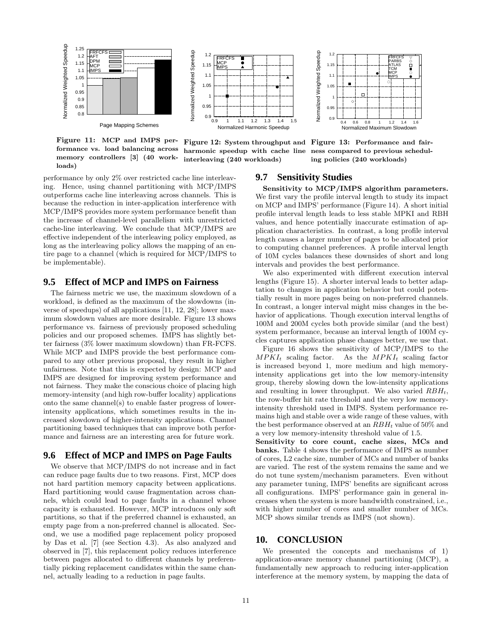

Figure 11: MCP and IMPS performance vs. load balancing across memory controllers [3] (40 workloads)



Figure 12: System throughput and Figure 13: Performance and fairharmonic speedup with cache line ness compared to previous schedulinterleaving (240 workloads)



ing policies (240 workloads)

performance by only 2% over restricted cache line interleaving. Hence, using channel partitioning with MCP/IMPS outperforms cache line interleaving across channels. This is because the reduction in inter-application interference with MCP/IMPS provides more system performance benefit than the increase of channel-level parallelism with unrestricted cache-line interleaving. We conclude that MCP/IMPS are effective independent of the interleaving policy employed, as long as the interleaving policy allows the mapping of an entire page to a channel (which is required for MCP/IMPS to be implementable).

# **9.5 Effect of MCP and IMPS on Fairness**

The fairness metric we use, the maximum slowdown of a workload, is defined as the maximum of the slowdowns (inverse of speedups) of all applications [11, 12, 28]; lower maximum slowdown values are more desirable. Figure 13 shows performance vs. fairness of previously proposed scheduling policies and our proposed schemes. IMPS has slightly better fairness (3% lower maximum slowdown) than FR-FCFS. While MCP and IMPS provide the best performance compared to any other previous proposal, they result in higher unfairness. Note that this is expected by design: MCP and IMPS are designed for improving system performance and not fairness. They make the conscious choice of placing high memory-intensity (and high row-buffer locality) applications onto the same channel(s) to enable faster progress of lowerintensity applications, which sometimes results in the increased slowdown of higher-intensity applications. Channel partitioning based techniques that can improve both performance and fairness are an interesting area for future work.

### **9.6 Effect of MCP and IMPS on Page Faults**

We observe that MCP/IMPS do not increase and in fact can reduce page faults due to two reasons. First, MCP does not hard partition memory capacity between applications. Hard partitioning would cause fragmentation across channels, which could lead to page faults in a channel whose capacity is exhausted. However, MCP introduces only soft partitions, so that if the preferred channel is exhausted, an empty page from a non-preferred channel is allocated. Second, we use a modified page replacement policy proposed by Das et al. [7] (see Section 4.3). As also analyzed and observed in [7], this replacement policy reduces interference between pages allocated to different channels by preferentially picking replacement candidates within the same channel, actually leading to a reduction in page faults.

# **9.7 Sensitivity Studies**

Sensitivity to MCP/IMPS algorithm parameters. We first vary the profile interval length to study its impact on MCP and IMPS' performance (Figure 14). A short initial profile interval length leads to less stable MPKI and RBH values, and hence potentially inaccurate estimation of application characteristics. In contrast, a long profile interval length causes a larger number of pages to be allocated prior to computing channel preferences. A profile interval length of 10M cycles balances these downsides of short and long intervals and provides the best performance.

We also experimented with different execution interval lengths (Figure 15). A shorter interval leads to better adaptation to changes in application behavior but could potentially result in more pages being on non-preferred channels. In contrast, a longer interval might miss changes in the behavior of applications. Though execution interval lengths of 100M and 200M cycles both provide similar (and the best) system performance, because an interval length of 100M cycles captures application phase changes better, we use that.

Figure 16 shows the sensitivity of MCP/IMPS to the  $MPKI_t$  scaling factor. As the  $MPKI_t$  scaling factor is increased beyond 1, more medium and high memoryintensity applications get into the low memory-intensity group, thereby slowing down the low-intensity applications and resulting in lower throughput. We also varied  $RBH_t$ , the row-buffer hit rate threshold and the very low memoryintensity threshold used in IMPS. System performance remains high and stable over a wide range of these values, with the best performance observed at an  $RBH_t$  value of 50% and a very low memory-intensity threshold value of 1.5.

Sensitivity to core count, cache sizes, MCs and banks. Table 4 shows the performance of IMPS as number of cores, L2 cache size, number of MCs and number of banks are varied. The rest of the system remains the same and we do not tune system/mechanism parameters. Even without any parameter tuning, IMPS' benefits are significant across all configurations. IMPS' performance gain in general increases when the system is more bandwidth constrained, i.e., with higher number of cores and smaller number of MCs. MCP shows similar trends as IMPS (not shown).

# **10. CONCLUSION**

We presented the concepts and mechanisms of 1) application-aware memory channel partitioning (MCP), a fundamentally new approach to reducing inter-application interference at the memory system, by mapping the data of